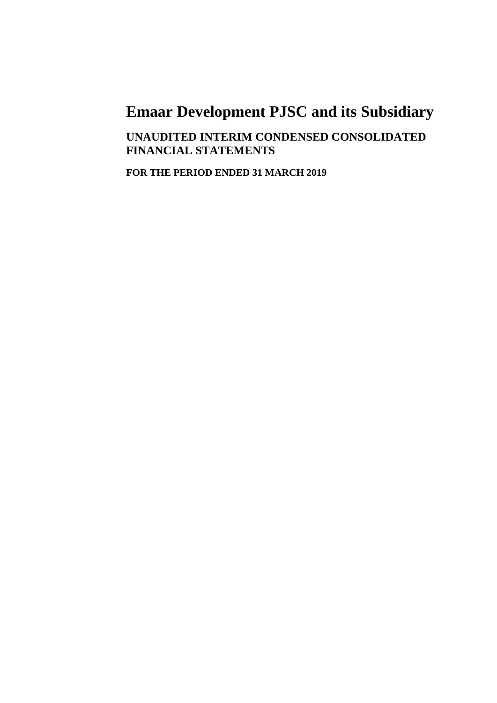**UNAUDITED INTERIM CONDENSED CONSOLIDATED FINANCIAL STATEMENTS**

**FOR THE PERIOD ENDED 31 MARCH 2019**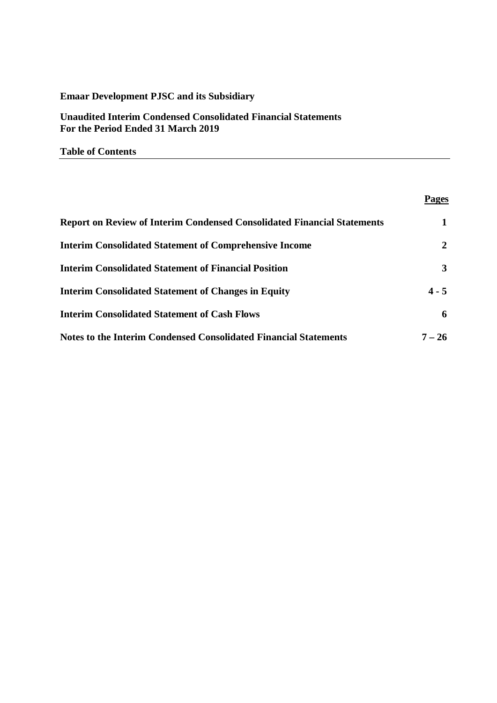**Unaudited Interim Condensed Consolidated Financial Statements For the Period Ended 31 March 2019**

**Table of Contents**

# **Pages**

| <b>Report on Review of Interim Condensed Consolidated Financial Statements</b> | 1              |
|--------------------------------------------------------------------------------|----------------|
| <b>Interim Consolidated Statement of Comprehensive Income</b>                  | $\overline{2}$ |
| <b>Interim Consolidated Statement of Financial Position</b>                    | 3              |
| <b>Interim Consolidated Statement of Changes in Equity</b>                     | $4 - 5$        |
| <b>Interim Consolidated Statement of Cash Flows</b>                            | 6              |
| <b>Notes to the Interim Condensed Consolidated Financial Statements</b>        | $7 - 26$       |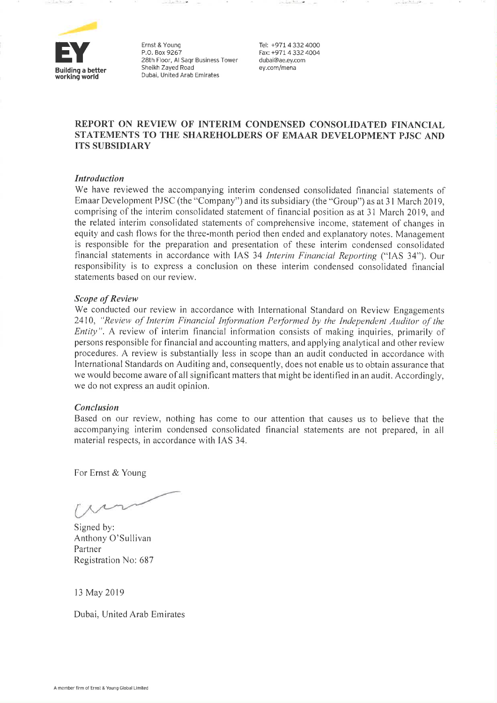

Ernst & Young P.O. Box 9267 28th Floor, Al Saqr Business Tower Sheikh Zayed Road Dubai, United Arab Emirates

Tel: +971 4 332 4000 Fax: +971 4.332 4004 dubai@ae.ey.com ey.com/mena

### REPORT ON REVIEW OF INTERIM CONDENSED CONSOLIDATED FINANCIAL STATEMENTS TO THE SHAREHOLDERS OF EMAAR DEVELOPMENT PJSC AND **ITS SUBSIDIARY**

### **Introduction**

We have reviewed the accompanying interim condensed consolidated financial statements of Emaar Development PJSC (the "Company") and its subsidiary (the "Group") as at 31 March 2019, comprising of the interim consolidated statement of financial position as at 31 March 2019, and the related interim consolidated statements of comprehensive income, statement of changes in equity and cash flows for the three-month period then ended and explanatory notes. Management is responsible for the preparation and presentation of these interim condensed consolidated financial statements in accordance with IAS 34 Interim Financial Reporting ("IAS 34"). Our responsibility is to express a conclusion on these interim condensed consolidated financial statements based on our review.

### **Scope of Review**

We conducted our review in accordance with International Standard on Review Engagements 2410, "Review of Interim Financial Information Performed by the Independent Auditor of the *Entity*". A review of interim financial information consists of making inquiries, primarily of persons responsible for financial and accounting matters, and applying analytical and other review procedures. A review is substantially less in scope than an audit conducted in accordance with International Standards on Auditing and, consequently, does not enable us to obtain assurance that we would become aware of all significant matters that might be identified in an audit. Accordingly, we do not express an audit opinion.

### **Conclusion**

Based on our review, nothing has come to our attention that causes us to believe that the accompanying interim condensed consolidated financial statements are not prepared, in all material respects, in accordance with IAS 34.

For Ernst & Young

Signed by: Anthony O'Sullivan Partner Registration No: 687

13 May 2019

Dubai, United Arab Emirates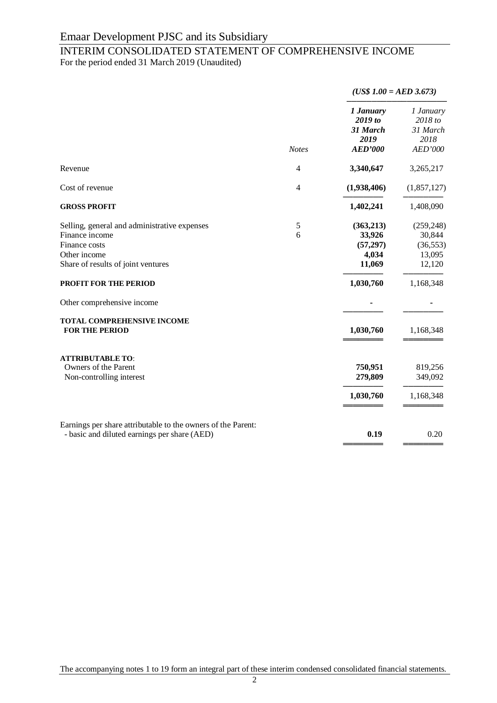# INTERIM CONSOLIDATED STATEMENT OF COMPREHENSIVE INCOME

For the period ended 31 March 2019 (Unaudited)

|                                                                                                                                                                                                                                                            | <b>Notes</b> | $(US$ 1.00 = AED 3.673)$                                                      |                                                                                 |  |
|------------------------------------------------------------------------------------------------------------------------------------------------------------------------------------------------------------------------------------------------------------|--------------|-------------------------------------------------------------------------------|---------------------------------------------------------------------------------|--|
|                                                                                                                                                                                                                                                            |              | 1 January<br>2019 to<br>31 March<br>2019<br><b>AED'000</b>                    | 1 January<br>2018 to<br>31 March<br>2018<br>AED'000                             |  |
| Revenue                                                                                                                                                                                                                                                    | 4            | 3,340,647                                                                     | 3,265,217                                                                       |  |
| Cost of revenue                                                                                                                                                                                                                                            | 4            | (1,938,406)                                                                   | (1,857,127)                                                                     |  |
| <b>GROSS PROFIT</b>                                                                                                                                                                                                                                        |              | 1,402,241                                                                     | 1,408,090                                                                       |  |
| Selling, general and administrative expenses<br>Finance income<br>Finance costs<br>Other income<br>Share of results of joint ventures<br><b>PROFIT FOR THE PERIOD</b><br>Other comprehensive income<br>TOTAL COMPREHENSIVE INCOME<br><b>FOR THE PERIOD</b> | 5<br>6       | (363,213)<br>33,926<br>(57, 297)<br>4,034<br>11,069<br>1,030,760<br>1,030,760 | (259, 248)<br>30,844<br>(36, 553)<br>13,095<br>12,120<br>1,168,348<br>1,168,348 |  |
| <b>ATTRIBUTABLE TO:</b><br>Owners of the Parent<br>Non-controlling interest                                                                                                                                                                                |              | 750,951<br>279,809<br>1,030,760                                               | 819,256<br>349,092<br>1,168,348                                                 |  |
| Earnings per share attributable to the owners of the Parent:<br>- basic and diluted earnings per share (AED)                                                                                                                                               |              | 0.19                                                                          | 0.20                                                                            |  |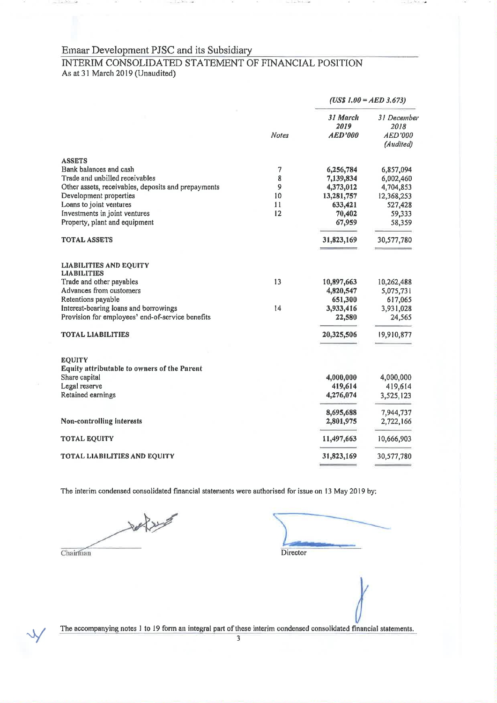The Walter Com-

**A** 

# INTERIM CONSOLIDATED STATEMENT OF FINANCIAL POSITION As at 31 March 2019 (Unaudited)

|                                                     |       | $(US$ 1.00 = AED 3.673)$           |                                                    |
|-----------------------------------------------------|-------|------------------------------------|----------------------------------------------------|
|                                                     | Notes | 31 March<br>2019<br><b>AED'000</b> | 31 December<br>2018<br><b>AED'000</b><br>(Audited) |
| <b>ASSETS</b>                                       |       |                                    |                                                    |
| Bank balances and cash                              | 7     | 6,256,784                          | 6,857,094                                          |
| Trade and unbilled receivables                      | 8     | 7,139,834                          | 6,002,460                                          |
| Other assets, receivables, deposits and prepayments | 9     | 4,373,012                          | 4,704,853                                          |
| Development properties                              | 10    | 13,281,757                         | 12,368,253                                         |
| Loans to joint ventures                             | 11    | 633,421                            | 527,428                                            |
| Investments in joint ventures                       | 12    | 70,402                             | 59,333                                             |
| Property, plant and equipment                       |       | 67,959                             | 58,359                                             |
| <b>TOTAL ASSETS</b>                                 |       | 31,823,169                         | 30,577,780                                         |
| <b>LIABILITIES AND EQUITY</b><br><b>LIABILITIES</b> |       |                                    |                                                    |
| Trade and other payables                            | 13    | 10,897,663                         | 10,262,488                                         |
| Advances from customers                             |       | 4,820,547                          | 5,075,731                                          |
| Retentions payable                                  |       | 651,300                            | 617,065                                            |
| Interest-bearing loans and borrowings               | 14    | 3,933,416                          | 3,931,028                                          |
| Provision for employees' end-of-service benefits    |       | 22,580                             | 24,565                                             |
| <b>TOTAL LIABILITIES</b>                            |       | 20,325,506                         | 19,910,877                                         |
| <b>EQUITY</b>                                       |       |                                    |                                                    |
| <b>Equity attributable to owners of the Parent</b>  |       |                                    |                                                    |
| Share capital                                       |       | 4,000,000                          | 4,000,000                                          |
| Legal reserve                                       |       | 419,614                            | 419,614                                            |
| Retained earnings                                   |       | 4,276,074                          | 3,525,123                                          |
|                                                     |       | 8,695,688                          | 7,944,737                                          |
| Non-controlling interests                           |       | 2,801,975                          | 2,722,166                                          |
| <b>TOTAL EQUITY</b>                                 |       | 11,497,663                         | 10,666,903                                         |
| <b>TOTAL LIABILITIES AND EQUITY</b>                 |       | 31,823,169                         | 30,577,780                                         |
|                                                     |       |                                    |                                                    |

The interim condensed consolidated financial statements were authorised for issue on 13 May 2019 by:

Chairman

Director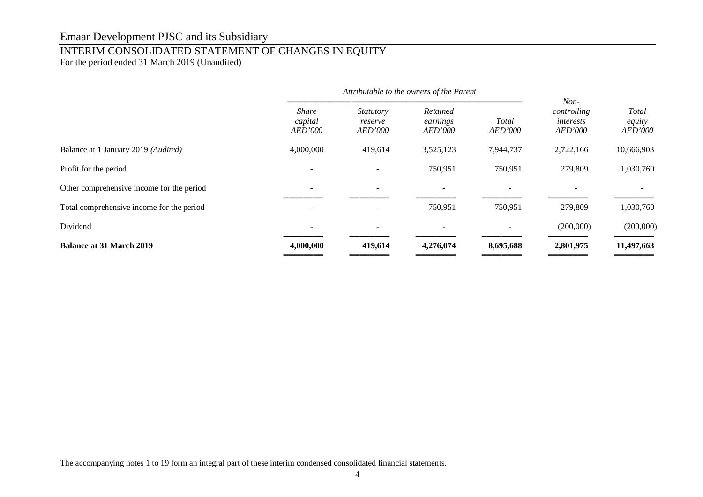# INTERIM CONSOLIDATED STATEMENT OF CHANGES IN EQUITY

For the period ended 31 March 2019 (Unaudited)

|                                           |                                           | Attributable to the owners of the Parent      |                                        |                  |                                                      |                                          |
|-------------------------------------------|-------------------------------------------|-----------------------------------------------|----------------------------------------|------------------|------------------------------------------------------|------------------------------------------|
|                                           | <b>Share</b><br>capital<br><b>AED'000</b> | <i>Statutory</i><br>reserve<br><i>AED'000</i> | Retained<br>earnings<br><b>AED'000</b> | Total<br>AED'000 | $Non-$<br>controlling<br>interests<br><b>AED'000</b> | <b>Total</b><br>equity<br><b>AED'000</b> |
| Balance at 1 January 2019 (Audited)       | 4,000,000                                 | 419,614                                       | 3,525,123                              | 7,944,737        | 2,722,166                                            | 10,666,903                               |
| Profit for the period                     |                                           |                                               | 750,951                                | 750,951          | 279,809                                              | 1,030,760                                |
| Other comprehensive income for the period | $\overline{\phantom{a}}$                  |                                               |                                        | $\blacksquare$   |                                                      |                                          |
| Total comprehensive income for the period |                                           |                                               | 750,951                                | 750,951          | 279,809                                              | 1,030,760                                |
| Dividend                                  | $\overline{\phantom{0}}$                  |                                               |                                        | ۰                | (200,000)                                            | (200,000)                                |
| <b>Balance at 31 March 2019</b>           | 4,000,000                                 | 419,614                                       | 4,276,074                              | 8,695,688        | 2,801,975                                            | 11,497,663                               |
|                                           |                                           |                                               |                                        |                  |                                                      |                                          |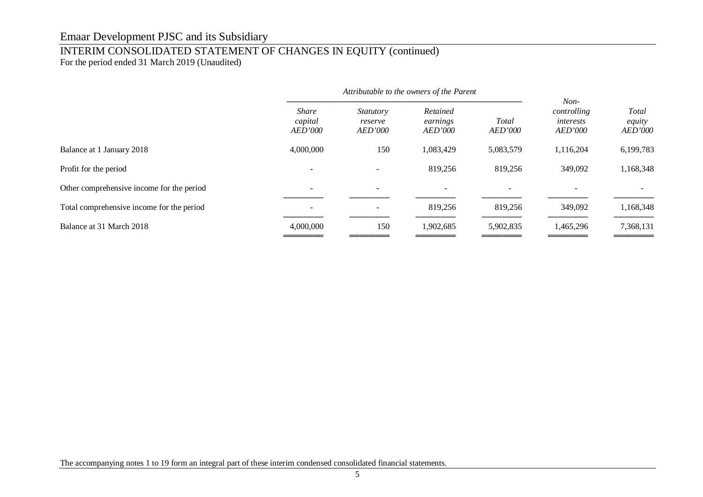# INTERIM CONSOLIDATED STATEMENT OF CHANGES IN EQUITY (continued)

For the period ended 31 March 2019 (Unaudited)

|                                           | Attributable to the owners of the Parent  |                                        |                                        |                          |                                                      |                                          |
|-------------------------------------------|-------------------------------------------|----------------------------------------|----------------------------------------|--------------------------|------------------------------------------------------|------------------------------------------|
|                                           | <b>Share</b><br>capital<br><b>AED'000</b> | <i>Statutory</i><br>reserve<br>AED'000 | Retained<br>earnings<br><b>AED'000</b> | Total<br><b>AED'000</b>  | $Non-$<br>controlling<br>interests<br><i>AED'000</i> | <b>Total</b><br>equity<br><i>AED'000</i> |
| Balance at 1 January 2018                 | 4,000,000                                 | 150                                    | 1,083,429                              | 5,083,579                | 1,116,204                                            | 6,199,783                                |
| Profit for the period                     |                                           |                                        | 819,256                                | 819,256                  | 349,092                                              | 1,168,348                                |
| Other comprehensive income for the period |                                           |                                        | $\overline{\phantom{a}}$               | $\overline{\phantom{0}}$ |                                                      |                                          |
| Total comprehensive income for the period |                                           |                                        | 819,256                                | 819,256                  | 349,092                                              | 1,168,348                                |
| Balance at 31 March 2018                  | 4,000,000                                 | 150                                    | 1,902,685                              | 5,902,835                | 1,465,296                                            | 7,368,131                                |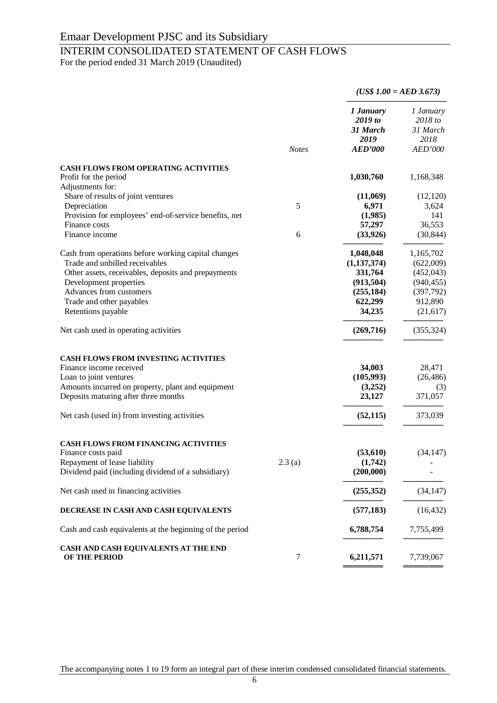# INTERIM CONSOLIDATED STATEMENT OF CASH FLOWS

For the period ended 31 March 2019 (Unaudited)

|                                                                      |              |                                                            | $(US$ 1.00 = AED 3.673)$                            |
|----------------------------------------------------------------------|--------------|------------------------------------------------------------|-----------------------------------------------------|
|                                                                      | <b>Notes</b> | 1 January<br>2019 to<br>31 March<br>2019<br><b>AED'000</b> | 1 January<br>2018 to<br>31 March<br>2018<br>AED'000 |
|                                                                      |              |                                                            |                                                     |
| <b>CASH FLOWS FROM OPERATING ACTIVITIES</b><br>Profit for the period |              | 1,030,760                                                  | 1,168,348                                           |
| Adjustments for:                                                     |              |                                                            |                                                     |
| Share of results of joint ventures                                   |              | (11,069)                                                   | (12, 120)                                           |
| Depreciation                                                         | 5            | 6,971                                                      | 3,624                                               |
| Provision for employees' end-of-service benefits, net                |              | (1,985)                                                    | 141                                                 |
| Finance costs                                                        |              | 57,297                                                     | 36,553                                              |
| Finance income                                                       | 6            | (33, 926)                                                  | (30, 844)                                           |
| Cash from operations before working capital changes                  |              | 1,048,048                                                  | 1,165,702                                           |
| Trade and unbilled receivables                                       |              | (1, 137, 374)                                              | (622,009)                                           |
| Other assets, receivables, deposits and prepayments                  |              | 331,764                                                    | (452, 043)                                          |
| Development properties                                               |              | (913, 504)                                                 | (940, 455)                                          |
| Advances from customers                                              |              | (255, 184)                                                 | (397,792)                                           |
| Trade and other payables                                             |              | 622,299                                                    | 912,890                                             |
| Retentions payable                                                   |              | 34,235                                                     | (21, 617)                                           |
| Net cash used in operating activities                                |              | (269,716)                                                  | (355, 324)                                          |
| <b>CASH FLOWS FROM INVESTING ACTIVITIES</b>                          |              |                                                            |                                                     |
| Finance income received                                              |              | 34,003                                                     | 28,471                                              |
| Loan to joint ventures                                               |              | (105,993)                                                  | (26, 486)                                           |
| Amounts incurred on property, plant and equipment                    |              | (3,252)                                                    | (3)                                                 |
| Deposits maturing after three months                                 |              | 23,127                                                     | 371,057                                             |
| Net cash (used in) from investing activities                         |              | (52, 115)                                                  | 373,039                                             |
| <b>CASH FLOWS FROM FINANCING ACTIVITIES</b>                          |              |                                                            |                                                     |
| Finance costs paid                                                   |              | (53, 610)                                                  | (34, 147)                                           |
| Repayment of lease liability                                         | 2.3(a)       | (1,742)                                                    |                                                     |
| Dividend paid (including dividend of a subsidiary)                   |              | (200,000)                                                  |                                                     |
| Net cash used in financing activities                                |              | (255, 352)                                                 | (34, 147)                                           |
| DECREASE IN CASH AND CASH EQUIVALENTS                                |              | (577, 183)                                                 | (16, 432)                                           |
| Cash and cash equivalents at the beginning of the period             |              | 6,788,754                                                  | 7,755,499                                           |
| CASH AND CASH EQUIVALENTS AT THE END<br>OF THE PERIOD                | 7            | 6,211,571                                                  | 7,739,067                                           |

The accompanying notes 1 to 19 form an integral part of these interim condensed consolidated financial statements.

════════════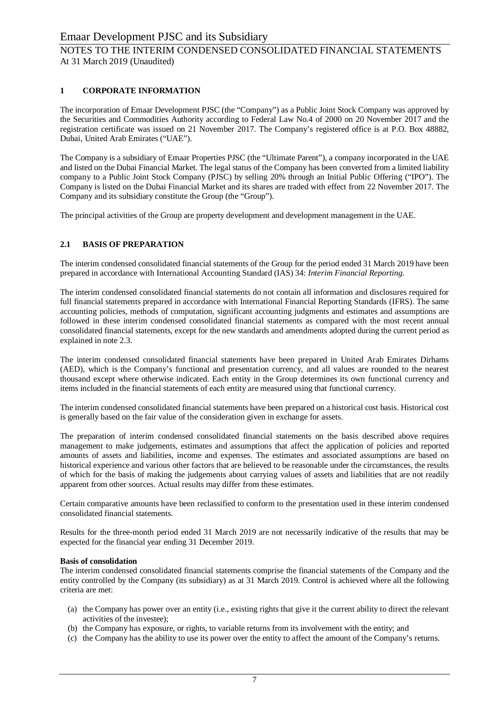### **1 CORPORATE INFORMATION**

The incorporation of Emaar Development PJSC (the "Company") as a Public Joint Stock Company was approved by the Securities and Commodities Authority according to Federal Law No.4 of 2000 on 20 November 2017 and the registration certificate was issued on 21 November 2017. The Company's registered office is at P.O. Box 48882, Dubai, United Arab Emirates ("UAE").

The Company is a subsidiary of Emaar Properties PJSC (the "Ultimate Parent"), a company incorporated in the UAE and listed on the Dubai Financial Market. The legal status of the Company has been converted from a limited liability company to a Public Joint Stock Company (PJSC) by selling 20% through an Initial Public Offering ("IPO"). The Company is listed on the Dubai Financial Market and its shares are traded with effect from 22 November 2017. The Company and its subsidiary constitute the Group (the "Group").

The principal activities of the Group are property development and development management in the UAE.

### **2.1 BASIS OF PREPARATION**

The interim condensed consolidated financial statements of the Group for the period ended 31 March 2019 have been prepared in accordance with International Accounting Standard (IAS) 34: *Interim Financial Reporting.*

The interim condensed consolidated financial statements do not contain all information and disclosures required for full financial statements prepared in accordance with International Financial Reporting Standards (IFRS). The same accounting policies, methods of computation, significant accounting judgments and estimates and assumptions are followed in these interim condensed consolidated financial statements as compared with the most recent annual consolidated financial statements, except for the new standards and amendments adopted during the current period as explained in note 2.3.

The interim condensed consolidated financial statements have been prepared in United Arab Emirates Dirhams (AED), which is the Company's functional and presentation currency, and all values are rounded to the nearest thousand except where otherwise indicated. Each entity in the Group determines its own functional currency and items included in the financial statements of each entity are measured using that functional currency.

The interim condensed consolidated financial statements have been prepared on a historical cost basis. Historical cost is generally based on the fair value of the consideration given in exchange for assets.

The preparation of interim condensed consolidated financial statements on the basis described above requires management to make judgements, estimates and assumptions that affect the application of policies and reported amounts of assets and liabilities, income and expenses. The estimates and associated assumptions are based on historical experience and various other factors that are believed to be reasonable under the circumstances, the results of which for the basis of making the judgements about carrying values of assets and liabilities that are not readily apparent from other sources. Actual results may differ from these estimates.

Certain comparative amounts have been reclassified to conform to the presentation used in these interim condensed consolidated financial statements.

Results for the three-month period ended 31 March 2019 are not necessarily indicative of the results that may be expected for the financial year ending 31 December 2019.

### **Basis of consolidation**

The interim condensed consolidated financial statements comprise the financial statements of the Company and the entity controlled by the Company (its subsidiary) as at 31 March 2019. Control is achieved where all the following criteria are met:

- (a) the Company has power over an entity (i.e., existing rights that give it the current ability to direct the relevant activities of the investee);
- (b) the Company has exposure, or rights, to variable returns from its involvement with the entity; and
- (c) the Company has the ability to use its power over the entity to affect the amount of the Company's returns.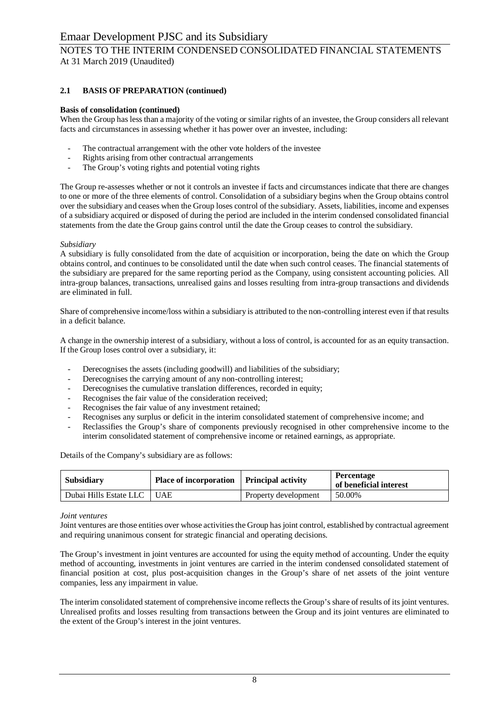# NOTES TO THE INTERIM CONDENSED CONSOLIDATED FINANCIAL STATEMENTS At 31 March 2019 (Unaudited)

### **2.1 BASIS OF PREPARATION (continued)**

### **Basis of consolidation (continued)**

When the Group has less than a majority of the voting or similar rights of an investee, the Group considers all relevant facts and circumstances in assessing whether it has power over an investee, including:

- The contractual arrangement with the other vote holders of the investee
- Rights arising from other contractual arrangements
- The Group's voting rights and potential voting rights

The Group re-assesses whether or not it controls an investee if facts and circumstances indicate that there are changes to one or more of the three elements of control. Consolidation of a subsidiary begins when the Group obtains control over the subsidiary and ceases when the Group loses control of the subsidiary. Assets, liabilities, income and expenses of a subsidiary acquired or disposed of during the period are included in the interim condensed consolidated financial statements from the date the Group gains control until the date the Group ceases to control the subsidiary.

### *Subsidiary*

A subsidiary is fully consolidated from the date of acquisition or incorporation, being the date on which the Group obtains control, and continues to be consolidated until the date when such control ceases. The financial statements of the subsidiary are prepared for the same reporting period as the Company, using consistent accounting policies. All intra-group balances, transactions, unrealised gains and losses resulting from intra-group transactions and dividends are eliminated in full.

Share of comprehensive income/loss within a subsidiary is attributed to the non-controlling interest even if that results in a deficit balance.

A change in the ownership interest of a subsidiary, without a loss of control, is accounted for as an equity transaction. If the Group loses control over a subsidiary, it:

- Derecognises the assets (including goodwill) and liabilities of the subsidiary;
- Derecognises the carrying amount of any non-controlling interest;
- Derecognises the cumulative translation differences, recorded in equity;
- Recognises the fair value of the consideration received:
- Recognises the fair value of any investment retained;
- Recognises any surplus or deficit in the interim consolidated statement of comprehensive income; and
- Reclassifies the Group's share of components previously recognised in other comprehensive income to the interim consolidated statement of comprehensive income or retained earnings, as appropriate.

| Subsidiary             | Place of incorporation   Principal activity |                      | <b>Percentage</b><br>of beneficial interest |
|------------------------|---------------------------------------------|----------------------|---------------------------------------------|
| Dubai Hills Estate LLC | <b>UAE</b>                                  | Property development | 50.00%                                      |

Details of the Company's subsidiary are as follows:

### *Joint ventures*

Joint ventures are those entities over whose activities the Group has joint control, established by contractual agreement and requiring unanimous consent for strategic financial and operating decisions.

The Group's investment in joint ventures are accounted for using the equity method of accounting. Under the equity method of accounting, investments in joint ventures are carried in the interim condensed consolidated statement of financial position at cost, plus post-acquisition changes in the Group's share of net assets of the joint venture companies, less any impairment in value.

The interim consolidated statement of comprehensive income reflects the Group's share of results of its joint ventures. Unrealised profits and losses resulting from transactions between the Group and its joint ventures are eliminated to the extent of the Group's interest in the joint ventures.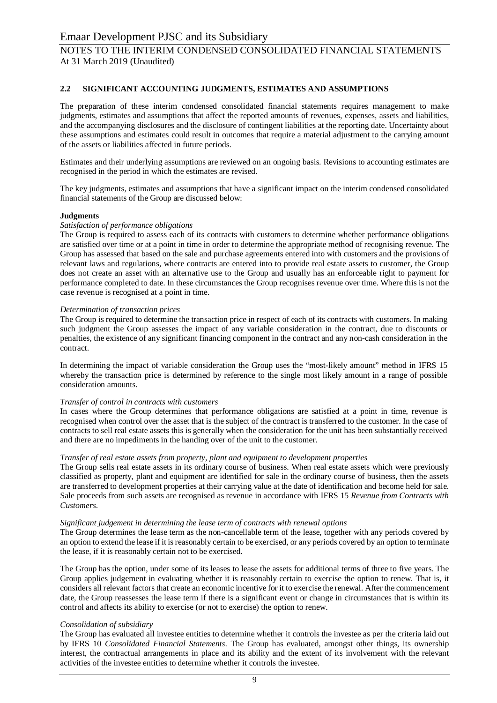### **2.2 SIGNIFICANT ACCOUNTING JUDGMENTS, ESTIMATES AND ASSUMPTIONS**

The preparation of these interim condensed consolidated financial statements requires management to make judgments, estimates and assumptions that affect the reported amounts of revenues, expenses, assets and liabilities, and the accompanying disclosures and the disclosure of contingent liabilities at the reporting date. Uncertainty about these assumptions and estimates could result in outcomes that require a material adjustment to the carrying amount of the assets or liabilities affected in future periods.

Estimates and their underlying assumptions are reviewed on an ongoing basis. Revisions to accounting estimates are recognised in the period in which the estimates are revised.

The key judgments, estimates and assumptions that have a significant impact on the interim condensed consolidated financial statements of the Group are discussed below:

### **Judgments**

### *Satisfaction of performance obligations*

The Group is required to assess each of its contracts with customers to determine whether performance obligations are satisfied over time or at a point in time in order to determine the appropriate method of recognising revenue. The Group has assessed that based on the sale and purchase agreements entered into with customers and the provisions of relevant laws and regulations, where contracts are entered into to provide real estate assets to customer, the Group does not create an asset with an alternative use to the Group and usually has an enforceable right to payment for performance completed to date. In these circumstances the Group recognises revenue over time. Where this is not the case revenue is recognised at a point in time.

### *Determination of transaction prices*

The Group is required to determine the transaction price in respect of each of its contracts with customers. In making such judgment the Group assesses the impact of any variable consideration in the contract, due to discounts or penalties, the existence of any significant financing component in the contract and any non-cash consideration in the contract.

In determining the impact of variable consideration the Group uses the "most-likely amount" method in IFRS 15 whereby the transaction price is determined by reference to the single most likely amount in a range of possible consideration amounts.

### *Transfer of control in contracts with customers*

In cases where the Group determines that performance obligations are satisfied at a point in time, revenue is recognised when control over the asset that is the subject of the contract is transferred to the customer. In the case of contracts to sell real estate assets this is generally when the consideration for the unit has been substantially received and there are no impediments in the handing over of the unit to the customer.

### *Transfer of real estate assets from property, plant and equipment to development properties*

The Group sells real estate assets in its ordinary course of business. When real estate assets which were previously classified as property, plant and equipment are identified for sale in the ordinary course of business, then the assets are transferred to development properties at their carrying value at the date of identification and become held for sale. Sale proceeds from such assets are recognised as revenue in accordance with IFRS 15 *Revenue from Contracts with Customers*.

### *Significant judgement in determining the lease term of contracts with renewal options*

The Group determines the lease term as the non-cancellable term of the lease, together with any periods covered by an option to extend the lease if it is reasonably certain to be exercised, or any periods covered by an option to terminate the lease, if it is reasonably certain not to be exercised.

The Group has the option, under some of its leases to lease the assets for additional terms of three to five years. The Group applies judgement in evaluating whether it is reasonably certain to exercise the option to renew. That is, it considers all relevant factors that create an economic incentive for it to exercise the renewal. After the commencement date, the Group reassesses the lease term if there is a significant event or change in circumstances that is within its control and affects its ability to exercise (or not to exercise) the option to renew.

### *Consolidation of subsidiary*

The Group has evaluated all investee entities to determine whether it controls the investee as per the criteria laid out by IFRS 10 *Consolidated Financial Statements*. The Group has evaluated, amongst other things, its ownership interest, the contractual arrangements in place and its ability and the extent of its involvement with the relevant activities of the investee entities to determine whether it controls the investee.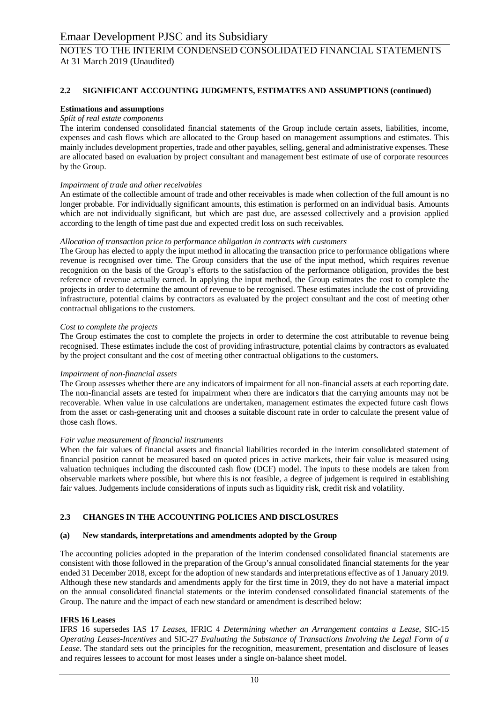### **2.2 SIGNIFICANT ACCOUNTING JUDGMENTS, ESTIMATES AND ASSUMPTIONS (continued)**

### **Estimations and assumptions**

### *Split of real estate components*

The interim condensed consolidated financial statements of the Group include certain assets, liabilities, income, expenses and cash flows which are allocated to the Group based on management assumptions and estimates. This mainly includes development properties, trade and other payables, selling, general and administrative expenses. These are allocated based on evaluation by project consultant and management best estimate of use of corporate resources by the Group.

### *Impairment of trade and other receivables*

An estimate of the collectible amount of trade and other receivables is made when collection of the full amount is no longer probable. For individually significant amounts, this estimation is performed on an individual basis. Amounts which are not individually significant, but which are past due, are assessed collectively and a provision applied according to the length of time past due and expected credit loss on such receivables.

### *Allocation of transaction price to performance obligation in contracts with customers*

The Group has elected to apply the input method in allocating the transaction price to performance obligations where revenue is recognised over time. The Group considers that the use of the input method, which requires revenue recognition on the basis of the Group's efforts to the satisfaction of the performance obligation, provides the best reference of revenue actually earned. In applying the input method, the Group estimates the cost to complete the projects in order to determine the amount of revenue to be recognised. These estimates include the cost of providing infrastructure, potential claims by contractors as evaluated by the project consultant and the cost of meeting other contractual obligations to the customers.

### *Cost to complete the projects*

The Group estimates the cost to complete the projects in order to determine the cost attributable to revenue being recognised. These estimates include the cost of providing infrastructure, potential claims by contractors as evaluated by the project consultant and the cost of meeting other contractual obligations to the customers.

### *Impairment of non-financial assets*

The Group assesses whether there are any indicators of impairment for all non-financial assets at each reporting date. The non-financial assets are tested for impairment when there are indicators that the carrying amounts may not be recoverable. When value in use calculations are undertaken, management estimates the expected future cash flows from the asset or cash-generating unit and chooses a suitable discount rate in order to calculate the present value of those cash flows.

### *Fair value measurement of financial instruments*

When the fair values of financial assets and financial liabilities recorded in the interim consolidated statement of financial position cannot be measured based on quoted prices in active markets, their fair value is measured using valuation techniques including the discounted cash flow (DCF) model. The inputs to these models are taken from observable markets where possible, but where this is not feasible, a degree of judgement is required in establishing fair values. Judgements include considerations of inputs such as liquidity risk, credit risk and volatility.

### **2.3 CHANGES IN THE ACCOUNTING POLICIES AND DISCLOSURES**

### **(a) New standards, interpretations and amendments adopted by the Group**

The accounting policies adopted in the preparation of the interim condensed consolidated financial statements are consistent with those followed in the preparation of the Group's annual consolidated financial statements for the year ended 31 December 2018, except for the adoption of new standards and interpretations effective as of 1 January 2019. Although these new standards and amendments apply for the first time in 2019, they do not have a material impact on the annual consolidated financial statements or the interim condensed consolidated financial statements of the Group. The nature and the impact of each new standard or amendment is described below:

### **IFRS 16 Leases**

IFRS 16 supersedes IAS 17 *Leases*, IFRIC 4 *Determining whether an Arrangement contains a Lease*, SIC-15 *Operating Leases-Incentives* and SIC-27 *Evaluating the Substance of Transactions Involving the Legal Form of a Lease*. The standard sets out the principles for the recognition, measurement, presentation and disclosure of leases and requires lessees to account for most leases under a single on-balance sheet model.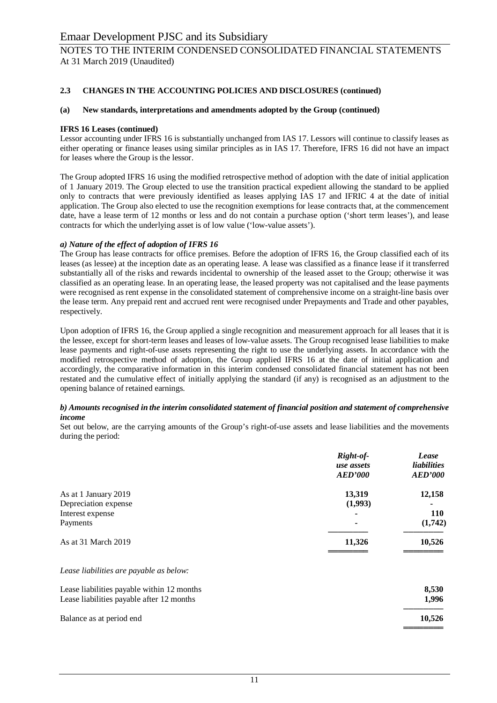### **2.3 CHANGES IN THE ACCOUNTING POLICIES AND DISCLOSURES (continued)**

### **(a) New standards, interpretations and amendments adopted by the Group (continued)**

### **IFRS 16 Leases (continued)**

Lessor accounting under IFRS 16 is substantially unchanged from IAS 17. Lessors will continue to classify leases as either operating or finance leases using similar principles as in IAS 17. Therefore, IFRS 16 did not have an impact for leases where the Group is the lessor.

The Group adopted IFRS 16 using the modified retrospective method of adoption with the date of initial application of 1 January 2019. The Group elected to use the transition practical expedient allowing the standard to be applied only to contracts that were previously identified as leases applying IAS 17 and IFRIC 4 at the date of initial application. The Group also elected to use the recognition exemptions for lease contracts that, at the commencement date, have a lease term of 12 months or less and do not contain a purchase option ('short term leases'), and lease contracts for which the underlying asset is of low value ('low-value assets').

### *a) Nature of the effect of adoption of IFRS 16*

The Group has lease contracts for office premises. Before the adoption of IFRS 16, the Group classified each of its leases (as lessee) at the inception date as an operating lease. A lease was classified as a finance lease if it transferred substantially all of the risks and rewards incidental to ownership of the leased asset to the Group; otherwise it was classified as an operating lease. In an operating lease, the leased property was not capitalised and the lease payments were recognised as rent expense in the consolidated statement of comprehensive income on a straight-line basis over the lease term. Any prepaid rent and accrued rent were recognised under Prepayments and Trade and other payables, respectively.

Upon adoption of IFRS 16, the Group applied a single recognition and measurement approach for all leases that it is the lessee, except for short-term leases and leases of low-value assets. The Group recognised lease liabilities to make lease payments and right-of-use assets representing the right to use the underlying assets. In accordance with the modified retrospective method of adoption, the Group applied IFRS 16 at the date of initial application and accordingly, the comparative information in this interim condensed consolidated financial statement has not been restated and the cumulative effect of initially applying the standard (if any) is recognised as an adjustment to the opening balance of retained earnings.

### *b) Amounts recognised in the interim consolidated statement of financial position and statement of comprehensive income*

Set out below, are the carrying amounts of the Group's right-of-use assets and lease liabilities and the movements during the period:

|                                                                  | Right-of-<br>use assets<br><b>AED'000</b> | Lease<br>liabilities<br><b>AED'000</b> |
|------------------------------------------------------------------|-------------------------------------------|----------------------------------------|
| As at 1 January 2019<br>Depreciation expense<br>Interest expense | 13,319<br>(1,993)                         | 12,158<br><b>110</b>                   |
| Payments                                                         | $\blacksquare$                            | (1,742)                                |
| As at 31 March 2019                                              | 11,326                                    | 10,526                                 |
| Lease liabilities are payable as below:                          |                                           |                                        |

| Lease liabilities payable within 12 months | 8.530  |
|--------------------------------------------|--------|
| Lease liabilities payable after 12 months  | 1.996  |
| Balance as at period end                   | 10.526 |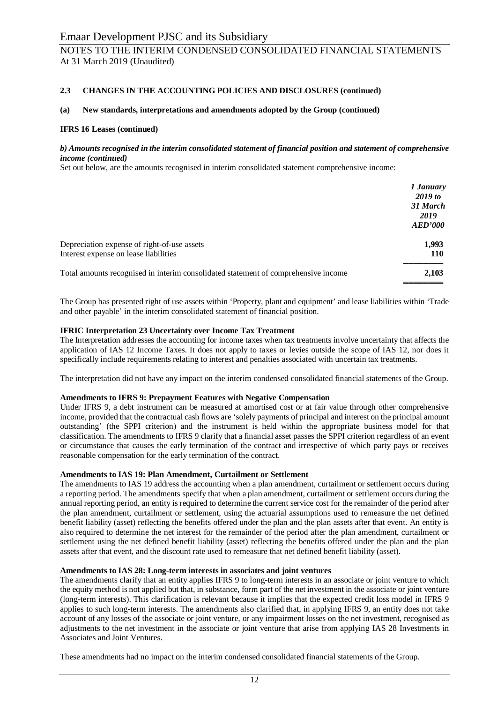# NOTES TO THE INTERIM CONDENSED CONSOLIDATED FINANCIAL STATEMENTS At 31 March 2019 (Unaudited)

### **2.3 CHANGES IN THE ACCOUNTING POLICIES AND DISCLOSURES (continued)**

### **(a) New standards, interpretations and amendments adopted by the Group (continued)**

### **IFRS 16 Leases (continued)**

### *b) Amounts recognised in the interim consolidated statement of financial position and statement of comprehensive income (continued)*

Set out below, are the amounts recognised in interim consolidated statement comprehensive income:

|                                                                                    | 1 January<br>2019 to |
|------------------------------------------------------------------------------------|----------------------|
|                                                                                    | 31 March<br>2019     |
|                                                                                    | AED'000              |
| Depreciation expense of right-of-use assets                                        | 1,993                |
| Interest expense on lease liabilities                                              | 110                  |
| Total amounts recognised in interim consolidated statement of comprehensive income | 2,103                |

The Group has presented right of use assets within 'Property, plant and equipment' and lease liabilities within 'Trade and other payable' in the interim consolidated statement of financial position.

### **IFRIC Interpretation 23 Uncertainty over Income Tax Treatment**

The Interpretation addresses the accounting for income taxes when tax treatments involve uncertainty that affects the application of IAS 12 Income Taxes. It does not apply to taxes or levies outside the scope of IAS 12, nor does it specifically include requirements relating to interest and penalties associated with uncertain tax treatments.

The interpretation did not have any impact on the interim condensed consolidated financial statements of the Group.

### **Amendments to IFRS 9: Prepayment Features with Negative Compensation**

Under IFRS 9, a debt instrument can be measured at amortised cost or at fair value through other comprehensive income, provided that the contractual cash flows are 'solely payments of principal and interest on the principal amount outstanding' (the SPPI criterion) and the instrument is held within the appropriate business model for that classification. The amendments to IFRS 9 clarify that a financial asset passes the SPPI criterion regardless of an event or circumstance that causes the early termination of the contract and irrespective of which party pays or receives reasonable compensation for the early termination of the contract.

### **Amendments to IAS 19: Plan Amendment, Curtailment or Settlement**

The amendments to IAS 19 address the accounting when a plan amendment, curtailment or settlement occurs during a reporting period. The amendments specify that when a plan amendment, curtailment or settlement occurs during the annual reporting period, an entity is required to determine the current service cost for the remainder of the period after the plan amendment, curtailment or settlement, using the actuarial assumptions used to remeasure the net defined benefit liability (asset) reflecting the benefits offered under the plan and the plan assets after that event. An entity is also required to determine the net interest for the remainder of the period after the plan amendment, curtailment or settlement using the net defined benefit liability (asset) reflecting the benefits offered under the plan and the plan assets after that event, and the discount rate used to remeasure that net defined benefit liability (asset).

### **Amendments to IAS 28: Long-term interests in associates and joint ventures**

The amendments clarify that an entity applies IFRS 9 to long-term interests in an associate or joint venture to which the equity method is not applied but that, in substance, form part of the net investment in the associate or joint venture (long-term interests). This clarification is relevant because it implies that the expected credit loss model in IFRS 9 applies to such long-term interests. The amendments also clarified that, in applying IFRS 9, an entity does not take account of any losses of the associate or joint venture, or any impairment losses on the net investment, recognised as adjustments to the net investment in the associate or joint venture that arise from applying IAS 28 Investments in Associates and Joint Ventures.

These amendments had no impact on the interim condensed consolidated financial statements of the Group.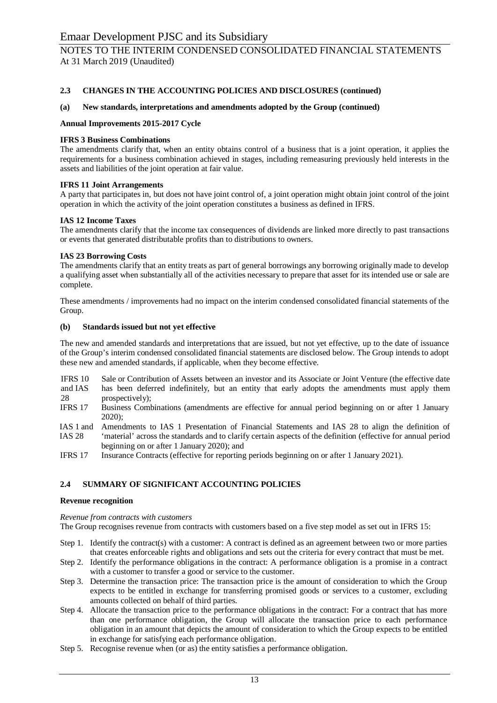### **2.3 CHANGES IN THE ACCOUNTING POLICIES AND DISCLOSURES (continued)**

### **(a) New standards, interpretations and amendments adopted by the Group (continued)**

### **Annual Improvements 2015-2017 Cycle**

### **IFRS 3 Business Combinations**

The amendments clarify that, when an entity obtains control of a business that is a joint operation, it applies the requirements for a business combination achieved in stages, including remeasuring previously held interests in the assets and liabilities of the joint operation at fair value.

### **IFRS 11 Joint Arrangements**

A party that participates in, but does not have joint control of, a joint operation might obtain joint control of the joint operation in which the activity of the joint operation constitutes a business as defined in IFRS.

### **IAS 12 Income Taxes**

The amendments clarify that the income tax consequences of dividends are linked more directly to past transactions or events that generated distributable profits than to distributions to owners.

### **IAS 23 Borrowing Costs**

The amendments clarify that an entity treats as part of general borrowings any borrowing originally made to develop a qualifying asset when substantially all of the activities necessary to prepare that asset for its intended use or sale are complete.

These amendments / improvements had no impact on the interim condensed consolidated financial statements of the Group.

### **(b) Standards issued but not yet effective**

The new and amended standards and interpretations that are issued, but not yet effective, up to the date of issuance of the Group's interim condensed consolidated financial statements are disclosed below. The Group intends to adopt these new and amended standards, if applicable, when they become effective.

IFRS 10 Sale or Contribution of Assets between an investor and its Associate or Joint Venture (the effective date has been deferred indefinitely, but an entity that early adopts the amendments must apply them

and IAS 28 prospectively);

- IFRS 17 Business Combinations (amendments are effective for annual period beginning on or after 1 January 2020);
- IAS 1 and IAS 28 Amendments to IAS 1 Presentation of Financial Statements and IAS 28 to align the definition of 'material' across the standards and to clarify certain aspects of the definition (effective for annual period beginning on or after 1 January 2020); and
- IFRS 17 Insurance Contracts (effective for reporting periods beginning on or after 1 January 2021).

### **2.4 SUMMARY OF SIGNIFICANT ACCOUNTING POLICIES**

### **Revenue recognition**

### *Revenue from contracts with customers*

The Group recognises revenue from contracts with customers based on a five step model as set out in IFRS 15:

- Step 1. Identify the contract(s) with a customer: A contract is defined as an agreement between two or more parties that creates enforceable rights and obligations and sets out the criteria for every contract that must be met.
- Step 2. Identify the performance obligations in the contract: A performance obligation is a promise in a contract with a customer to transfer a good or service to the customer.
- Step 3. Determine the transaction price: The transaction price is the amount of consideration to which the Group expects to be entitled in exchange for transferring promised goods or services to a customer, excluding amounts collected on behalf of third parties.
- Step 4. Allocate the transaction price to the performance obligations in the contract: For a contract that has more than one performance obligation, the Group will allocate the transaction price to each performance obligation in an amount that depicts the amount of consideration to which the Group expects to be entitled in exchange for satisfying each performance obligation.
- Step 5. Recognise revenue when (or as) the entity satisfies a performance obligation.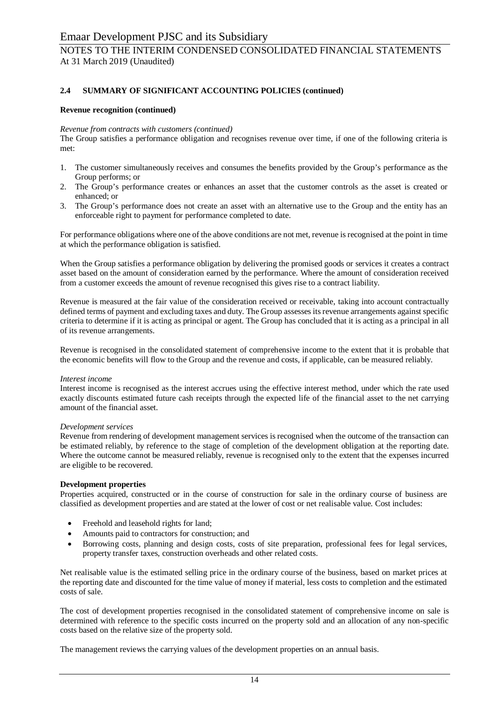# NOTES TO THE INTERIM CONDENSED CONSOLIDATED FINANCIAL STATEMENTS At 31 March 2019 (Unaudited)

### **2.4 SUMMARY OF SIGNIFICANT ACCOUNTING POLICIES (continued)**

### **Revenue recognition (continued)**

#### *Revenue from contracts with customers (continued)*

The Group satisfies a performance obligation and recognises revenue over time, if one of the following criteria is met:

- 1. The customer simultaneously receives and consumes the benefits provided by the Group's performance as the Group performs; or
- 2. The Group's performance creates or enhances an asset that the customer controls as the asset is created or enhanced; or
- 3. The Group's performance does not create an asset with an alternative use to the Group and the entity has an enforceable right to payment for performance completed to date.

For performance obligations where one of the above conditions are not met, revenue is recognised at the point in time at which the performance obligation is satisfied.

When the Group satisfies a performance obligation by delivering the promised goods or services it creates a contract asset based on the amount of consideration earned by the performance. Where the amount of consideration received from a customer exceeds the amount of revenue recognised this gives rise to a contract liability.

Revenue is measured at the fair value of the consideration received or receivable, taking into account contractually defined terms of payment and excluding taxes and duty. The Group assesses its revenue arrangements against specific criteria to determine if it is acting as principal or agent. The Group has concluded that it is acting as a principal in all of its revenue arrangements.

Revenue is recognised in the consolidated statement of comprehensive income to the extent that it is probable that the economic benefits will flow to the Group and the revenue and costs, if applicable, can be measured reliably.

#### *Interest income*

Interest income is recognised as the interest accrues using the effective interest method, under which the rate used exactly discounts estimated future cash receipts through the expected life of the financial asset to the net carrying amount of the financial asset.

#### *Development services*

Revenue from rendering of development management services is recognised when the outcome of the transaction can be estimated reliably, by reference to the stage of completion of the development obligation at the reporting date. Where the outcome cannot be measured reliably, revenue is recognised only to the extent that the expenses incurred are eligible to be recovered.

### **Development properties**

Properties acquired, constructed or in the course of construction for sale in the ordinary course of business are classified as development properties and are stated at the lower of cost or net realisable value. Cost includes:

- Freehold and leasehold rights for land;
- Amounts paid to contractors for construction; and
- · Borrowing costs, planning and design costs, costs of site preparation, professional fees for legal services, property transfer taxes, construction overheads and other related costs.

Net realisable value is the estimated selling price in the ordinary course of the business, based on market prices at the reporting date and discounted for the time value of money if material, less costs to completion and the estimated costs of sale.

The cost of development properties recognised in the consolidated statement of comprehensive income on sale is determined with reference to the specific costs incurred on the property sold and an allocation of any non-specific costs based on the relative size of the property sold.

The management reviews the carrying values of the development properties on an annual basis.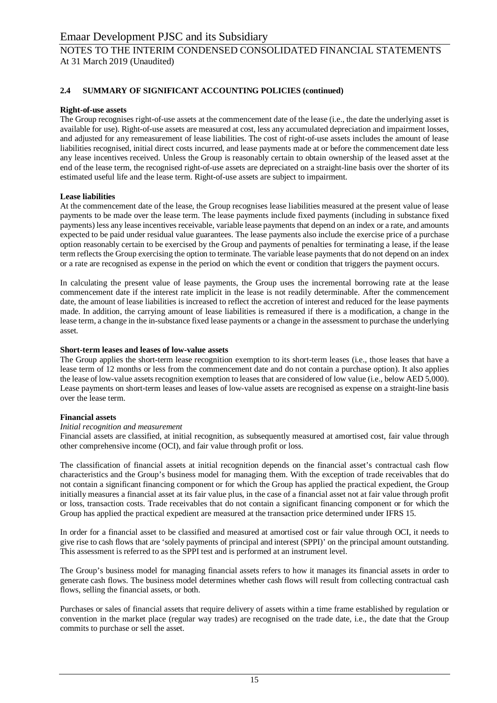### **2.4 SUMMARY OF SIGNIFICANT ACCOUNTING POLICIES (continued)**

### **Right-of-use assets**

The Group recognises right-of-use assets at the commencement date of the lease (i.e., the date the underlying asset is available for use). Right-of-use assets are measured at cost, less any accumulated depreciation and impairment losses, and adjusted for any remeasurement of lease liabilities. The cost of right-of-use assets includes the amount of lease liabilities recognised, initial direct costs incurred, and lease payments made at or before the commencement date less any lease incentives received. Unless the Group is reasonably certain to obtain ownership of the leased asset at the end of the lease term, the recognised right-of-use assets are depreciated on a straight-line basis over the shorter of its estimated useful life and the lease term. Right-of-use assets are subject to impairment.

### **Lease liabilities**

At the commencement date of the lease, the Group recognises lease liabilities measured at the present value of lease payments to be made over the lease term. The lease payments include fixed payments (including in substance fixed payments) less any lease incentives receivable, variable lease payments that depend on an index or a rate, and amounts expected to be paid under residual value guarantees. The lease payments also include the exercise price of a purchase option reasonably certain to be exercised by the Group and payments of penalties for terminating a lease, if the lease term reflects the Group exercising the option to terminate. The variable lease payments that do not depend on an index or a rate are recognised as expense in the period on which the event or condition that triggers the payment occurs.

In calculating the present value of lease payments, the Group uses the incremental borrowing rate at the lease commencement date if the interest rate implicit in the lease is not readily determinable. After the commencement date, the amount of lease liabilities is increased to reflect the accretion of interest and reduced for the lease payments made. In addition, the carrying amount of lease liabilities is remeasured if there is a modification, a change in the lease term, a change in the in-substance fixed lease payments or a change in the assessment to purchase the underlying asset*.*

#### **Short-term leases and leases of low-value assets**

The Group applies the short-term lease recognition exemption to its short-term leases (i.e., those leases that have a lease term of 12 months or less from the commencement date and do not contain a purchase option). It also applies the lease of low-value assets recognition exemption to leases that are considered of low value (i.e., below AED 5,000). Lease payments on short-term leases and leases of low-value assets are recognised as expense on a straight-line basis over the lease term.

### **Financial assets**

### *Initial recognition and measurement*

Financial assets are classified, at initial recognition, as subsequently measured at amortised cost, fair value through other comprehensive income (OCI), and fair value through profit or loss.

The classification of financial assets at initial recognition depends on the financial asset's contractual cash flow characteristics and the Group's business model for managing them. With the exception of trade receivables that do not contain a significant financing component or for which the Group has applied the practical expedient, the Group initially measures a financial asset at its fair value plus, in the case of a financial asset not at fair value through profit or loss, transaction costs. Trade receivables that do not contain a significant financing component or for which the Group has applied the practical expedient are measured at the transaction price determined under IFRS 15.

In order for a financial asset to be classified and measured at amortised cost or fair value through OCI, it needs to give rise to cash flows that are 'solely payments of principal and interest (SPPI)' on the principal amount outstanding. This assessment is referred to as the SPPI test and is performed at an instrument level.

The Group's business model for managing financial assets refers to how it manages its financial assets in order to generate cash flows. The business model determines whether cash flows will result from collecting contractual cash flows, selling the financial assets, or both.

Purchases or sales of financial assets that require delivery of assets within a time frame established by regulation or convention in the market place (regular way trades) are recognised on the trade date, i.e., the date that the Group commits to purchase or sell the asset.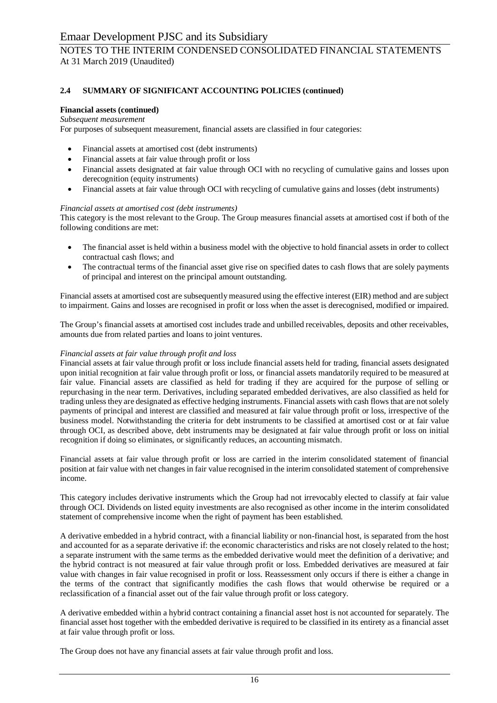# NOTES TO THE INTERIM CONDENSED CONSOLIDATED FINANCIAL STATEMENTS At 31 March 2019 (Unaudited)

### **2.4 SUMMARY OF SIGNIFICANT ACCOUNTING POLICIES (continued)**

### **Financial assets (continued)**

### *Subsequent measurement*

For purposes of subsequent measurement, financial assets are classified in four categories:

- Financial assets at amortised cost (debt instruments)
- Financial assets at fair value through profit or loss
- · Financial assets designated at fair value through OCI with no recycling of cumulative gains and losses upon derecognition (equity instruments)
- · Financial assets at fair value through OCI with recycling of cumulative gains and losses (debt instruments)

### *Financial assets at amortised cost (debt instruments)*

This category is the most relevant to the Group. The Group measures financial assets at amortised cost if both of the following conditions are met:

- · The financial asset is held within a business model with the objective to hold financial assets in order to collect contractual cash flows; and
- The contractual terms of the financial asset give rise on specified dates to cash flows that are solely payments of principal and interest on the principal amount outstanding.

Financial assets at amortised cost are subsequently measured using the effective interest (EIR) method and are subject to impairment. Gains and losses are recognised in profit or loss when the asset is derecognised, modified or impaired.

The Group's financial assets at amortised cost includes trade and unbilled receivables, deposits and other receivables, amounts due from related parties and loans to joint ventures.

### *Financial assets at fair value through profit and loss*

Financial assets at fair value through profit or loss include financial assets held for trading, financial assets designated upon initial recognition at fair value through profit or loss, or financial assets mandatorily required to be measured at fair value. Financial assets are classified as held for trading if they are acquired for the purpose of selling or repurchasing in the near term. Derivatives, including separated embedded derivatives, are also classified as held for trading unless they are designated as effective hedging instruments. Financial assets with cash flows that are not solely payments of principal and interest are classified and measured at fair value through profit or loss, irrespective of the business model. Notwithstanding the criteria for debt instruments to be classified at amortised cost or at fair value through OCI, as described above, debt instruments may be designated at fair value through profit or loss on initial recognition if doing so eliminates, or significantly reduces, an accounting mismatch.

Financial assets at fair value through profit or loss are carried in the interim consolidated statement of financial position at fair value with net changes in fair value recognised in the interim consolidated statement of comprehensive income.

This category includes derivative instruments which the Group had not irrevocably elected to classify at fair value through OCI. Dividends on listed equity investments are also recognised as other income in the interim consolidated statement of comprehensive income when the right of payment has been established.

A derivative embedded in a hybrid contract, with a financial liability or non-financial host, is separated from the host and accounted for as a separate derivative if: the economic characteristics and risks are not closely related to the host; a separate instrument with the same terms as the embedded derivative would meet the definition of a derivative; and the hybrid contract is not measured at fair value through profit or loss. Embedded derivatives are measured at fair value with changes in fair value recognised in profit or loss. Reassessment only occurs if there is either a change in the terms of the contract that significantly modifies the cash flows that would otherwise be required or a reclassification of a financial asset out of the fair value through profit or loss category.

A derivative embedded within a hybrid contract containing a financial asset host is not accounted for separately. The financial asset host together with the embedded derivative is required to be classified in its entirety as a financial asset at fair value through profit or loss.

The Group does not have any financial assets at fair value through profit and loss.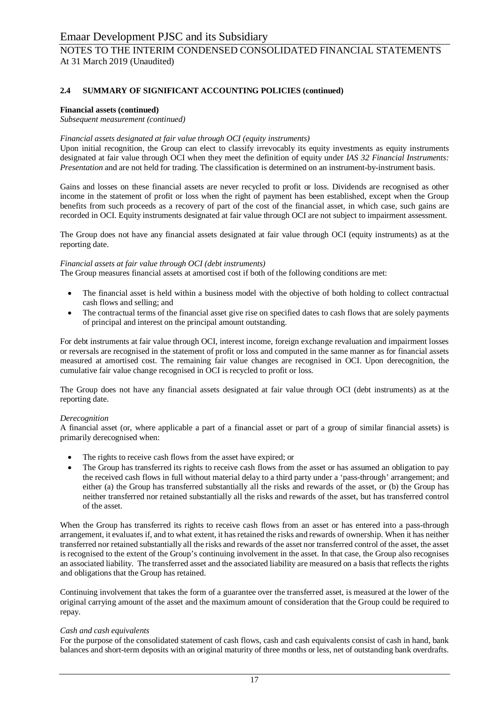### **2.4 SUMMARY OF SIGNIFICANT ACCOUNTING POLICIES (continued)**

### **Financial assets (continued)**

*Subsequent measurement (continued)*

### *Financial assets designated at fair value through OCI (equity instruments)*

Upon initial recognition, the Group can elect to classify irrevocably its equity investments as equity instruments designated at fair value through OCI when they meet the definition of equity under *IAS 32 Financial Instruments: Presentation* and are not held for trading. The classification is determined on an instrument-by-instrument basis.

Gains and losses on these financial assets are never recycled to profit or loss. Dividends are recognised as other income in the statement of profit or loss when the right of payment has been established, except when the Group benefits from such proceeds as a recovery of part of the cost of the financial asset, in which case, such gains are recorded in OCI. Equity instruments designated at fair value through OCI are not subject to impairment assessment.

The Group does not have any financial assets designated at fair value through OCI (equity instruments) as at the reporting date.

### *Financial assets at fair value through OCI (debt instruments)*

The Group measures financial assets at amortised cost if both of the following conditions are met:

- The financial asset is held within a business model with the objective of both holding to collect contractual cash flows and selling; and
- The contractual terms of the financial asset give rise on specified dates to cash flows that are solely payments of principal and interest on the principal amount outstanding.

For debt instruments at fair value through OCI, interest income, foreign exchange revaluation and impairment losses or reversals are recognised in the statement of profit or loss and computed in the same manner as for financial assets measured at amortised cost. The remaining fair value changes are recognised in OCI. Upon derecognition, the cumulative fair value change recognised in OCI is recycled to profit or loss.

The Group does not have any financial assets designated at fair value through OCI (debt instruments) as at the reporting date.

### *Derecognition*

A financial asset (or, where applicable a part of a financial asset or part of a group of similar financial assets) is primarily derecognised when:

- The rights to receive cash flows from the asset have expired; or
- The Group has transferred its rights to receive cash flows from the asset or has assumed an obligation to pay the received cash flows in full without material delay to a third party under a 'pass-through' arrangement; and either (a) the Group has transferred substantially all the risks and rewards of the asset, or (b) the Group has neither transferred nor retained substantially all the risks and rewards of the asset, but has transferred control of the asset.

When the Group has transferred its rights to receive cash flows from an asset or has entered into a pass-through arrangement, it evaluates if, and to what extent, it has retained the risks and rewards of ownership. When it has neither transferred nor retained substantially all the risks and rewards of the asset nor transferred control of the asset, the asset is recognised to the extent of the Group's continuing involvement in the asset. In that case, the Group also recognises an associated liability. The transferred asset and the associated liability are measured on a basis that reflects the rights and obligations that the Group has retained.

Continuing involvement that takes the form of a guarantee over the transferred asset, is measured at the lower of the original carrying amount of the asset and the maximum amount of consideration that the Group could be required to repay.

### *Cash and cash equivalents*

For the purpose of the consolidated statement of cash flows, cash and cash equivalents consist of cash in hand, bank balances and short-term deposits with an original maturity of three months or less, net of outstanding bank overdrafts.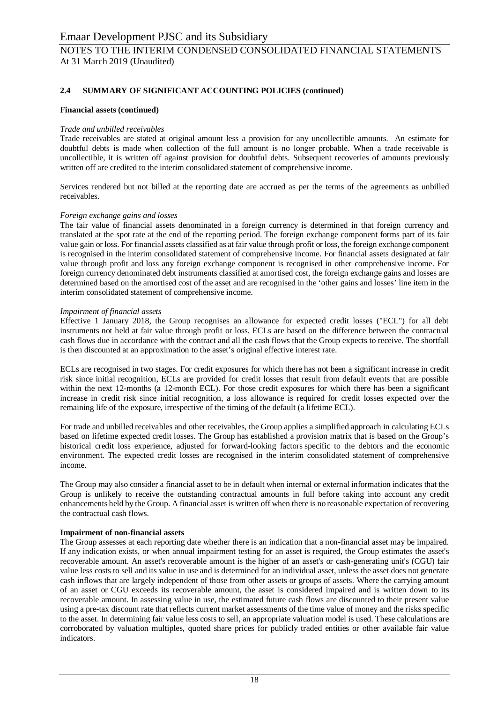# NOTES TO THE INTERIM CONDENSED CONSOLIDATED FINANCIAL STATEMENTS At 31 March 2019 (Unaudited)

### **2.4 SUMMARY OF SIGNIFICANT ACCOUNTING POLICIES (continued)**

### **Financial assets (continued)**

### *Trade and unbilled receivables*

Trade receivables are stated at original amount less a provision for any uncollectible amounts. An estimate for doubtful debts is made when collection of the full amount is no longer probable. When a trade receivable is uncollectible, it is written off against provision for doubtful debts. Subsequent recoveries of amounts previously written off are credited to the interim consolidated statement of comprehensive income.

Services rendered but not billed at the reporting date are accrued as per the terms of the agreements as unbilled receivables.

### *Foreign exchange gains and losses*

The fair value of financial assets denominated in a foreign currency is determined in that foreign currency and translated at the spot rate at the end of the reporting period. The foreign exchange component forms part of its fair value gain or loss. For financial assets classified as at fair value through profit or loss, the foreign exchange component is recognised in the interim consolidated statement of comprehensive income. For financial assets designated at fair value through profit and loss any foreign exchange component is recognised in other comprehensive income. For foreign currency denominated debt instruments classified at amortised cost, the foreign exchange gains and losses are determined based on the amortised cost of the asset and are recognised in the 'other gains and losses' line item in the interim consolidated statement of comprehensive income.

### *Impairment of financial assets*

Effective 1 January 2018, the Group recognises an allowance for expected credit losses ("ECL") for all debt instruments not held at fair value through profit or loss. ECLs are based on the difference between the contractual cash flows due in accordance with the contract and all the cash flows that the Group expects to receive. The shortfall is then discounted at an approximation to the asset's original effective interest rate.

ECLs are recognised in two stages. For credit exposures for which there has not been a significant increase in credit risk since initial recognition, ECLs are provided for credit losses that result from default events that are possible within the next 12-months (a 12-month ECL). For those credit exposures for which there has been a significant increase in credit risk since initial recognition, a loss allowance is required for credit losses expected over the remaining life of the exposure, irrespective of the timing of the default (a lifetime ECL).

For trade and unbilled receivables and other receivables, the Group applies a simplified approach in calculating ECLs based on lifetime expected credit losses. The Group has established a provision matrix that is based on the Group's historical credit loss experience, adjusted for forward-looking factors specific to the debtors and the economic environment. The expected credit losses are recognised in the interim consolidated statement of comprehensive income.

The Group may also consider a financial asset to be in default when internal or external information indicates that the Group is unlikely to receive the outstanding contractual amounts in full before taking into account any credit enhancements held by the Group. A financial asset is written off when there is no reasonable expectation of recovering the contractual cash flows.

### **Impairment of non-financial assets**

The Group assesses at each reporting date whether there is an indication that a non-financial asset may be impaired. If any indication exists, or when annual impairment testing for an asset is required, the Group estimates the asset's recoverable amount. An asset's recoverable amount is the higher of an asset's or cash-generating unit's (CGU) fair value less costs to sell and its value in use and is determined for an individual asset, unless the asset does not generate cash inflows that are largely independent of those from other assets or groups of assets. Where the carrying amount of an asset or CGU exceeds its recoverable amount, the asset is considered impaired and is written down to its recoverable amount. In assessing value in use, the estimated future cash flows are discounted to their present value using a pre-tax discount rate that reflects current market assessments of the time value of money and the risks specific to the asset. In determining fair value less costs to sell, an appropriate valuation model is used. These calculations are corroborated by valuation multiples, quoted share prices for publicly traded entities or other available fair value indicators.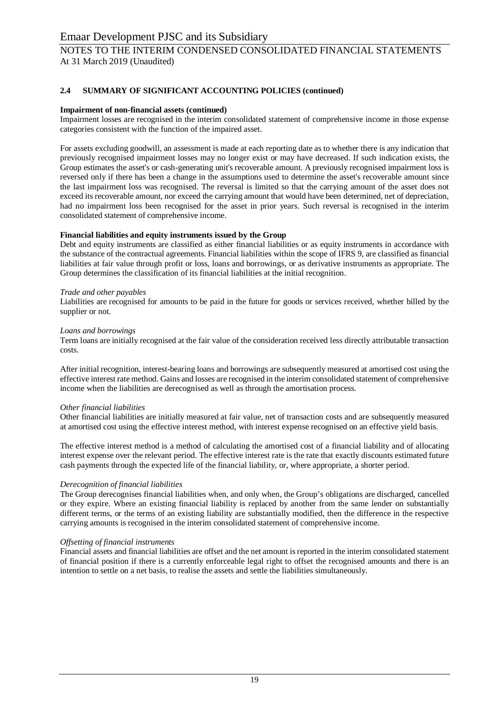# NOTES TO THE INTERIM CONDENSED CONSOLIDATED FINANCIAL STATEMENTS At 31 March 2019 (Unaudited)

### **2.4 SUMMARY OF SIGNIFICANT ACCOUNTING POLICIES (continued)**

### **Impairment of non-financial assets (continued)**

Impairment losses are recognised in the interim consolidated statement of comprehensive income in those expense categories consistent with the function of the impaired asset.

For assets excluding goodwill, an assessment is made at each reporting date as to whether there is any indication that previously recognised impairment losses may no longer exist or may have decreased. If such indication exists, the Group estimates the asset's or cash-generating unit's recoverable amount. A previously recognised impairment loss is reversed only if there has been a change in the assumptions used to determine the asset's recoverable amount since the last impairment loss was recognised. The reversal is limited so that the carrying amount of the asset does not exceed its recoverable amount, nor exceed the carrying amount that would have been determined, net of depreciation, had no impairment loss been recognised for the asset in prior years. Such reversal is recognised in the interim consolidated statement of comprehensive income.

### **Financial liabilities and equity instruments issued by the Group**

Debt and equity instruments are classified as either financial liabilities or as equity instruments in accordance with the substance of the contractual agreements. Financial liabilities within the scope of IFRS 9, are classified as financial liabilities at fair value through profit or loss, loans and borrowings, or as derivative instruments as appropriate. The Group determines the classification of its financial liabilities at the initial recognition.

### *Trade and other payables*

Liabilities are recognised for amounts to be paid in the future for goods or services received, whether billed by the supplier or not.

### *Loans and borrowings*

Term loans are initially recognised at the fair value of the consideration received less directly attributable transaction costs.

After initial recognition, interest-bearing loans and borrowings are subsequently measured at amortised cost using the effective interest rate method. Gains and losses are recognised in the interim consolidated statement of comprehensive income when the liabilities are derecognised as well as through the amortisation process.

### *Other financial liabilities*

Other financial liabilities are initially measured at fair value, net of transaction costs and are subsequently measured at amortised cost using the effective interest method, with interest expense recognised on an effective yield basis.

The effective interest method is a method of calculating the amortised cost of a financial liability and of allocating interest expense over the relevant period. The effective interest rate is the rate that exactly discounts estimated future cash payments through the expected life of the financial liability, or, where appropriate, a shorter period.

### *Derecognition of financial liabilities*

The Group derecognises financial liabilities when, and only when, the Group's obligations are discharged, cancelled or they expire. Where an existing financial liability is replaced by another from the same lender on substantially different terms, or the terms of an existing liability are substantially modified, then the difference in the respective carrying amounts is recognised in the interim consolidated statement of comprehensive income.

### *Offsetting of financial instruments*

Financial assets and financial liabilities are offset and the net amount is reported in the interim consolidated statement of financial position if there is a currently enforceable legal right to offset the recognised amounts and there is an intention to settle on a net basis, to realise the assets and settle the liabilities simultaneously.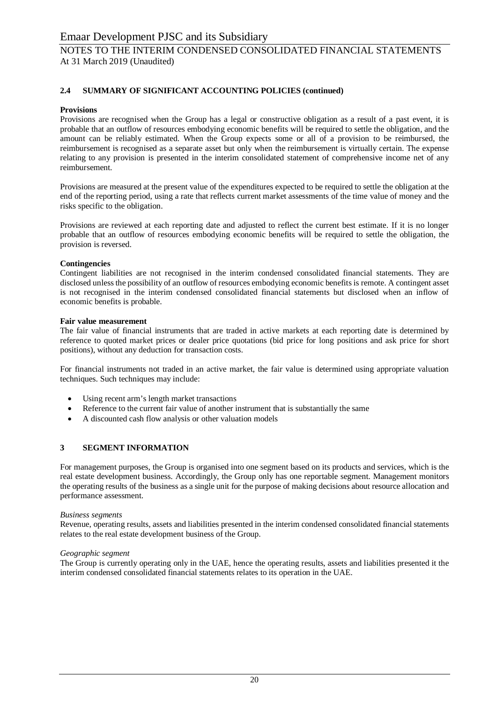# NOTES TO THE INTERIM CONDENSED CONSOLIDATED FINANCIAL STATEMENTS At 31 March 2019 (Unaudited)

### **2.4 SUMMARY OF SIGNIFICANT ACCOUNTING POLICIES (continued)**

### **Provisions**

Provisions are recognised when the Group has a legal or constructive obligation as a result of a past event, it is probable that an outflow of resources embodying economic benefits will be required to settle the obligation, and the amount can be reliably estimated. When the Group expects some or all of a provision to be reimbursed, the reimbursement is recognised as a separate asset but only when the reimbursement is virtually certain. The expense relating to any provision is presented in the interim consolidated statement of comprehensive income net of any reimbursement.

Provisions are measured at the present value of the expenditures expected to be required to settle the obligation at the end of the reporting period, using a rate that reflects current market assessments of the time value of money and the risks specific to the obligation.

Provisions are reviewed at each reporting date and adjusted to reflect the current best estimate. If it is no longer probable that an outflow of resources embodying economic benefits will be required to settle the obligation, the provision is reversed.

### **Contingencies**

Contingent liabilities are not recognised in the interim condensed consolidated financial statements. They are disclosed unless the possibility of an outflow of resources embodying economic benefits is remote. A contingent asset is not recognised in the interim condensed consolidated financial statements but disclosed when an inflow of economic benefits is probable.

### **Fair value measurement**

The fair value of financial instruments that are traded in active markets at each reporting date is determined by reference to quoted market prices or dealer price quotations (bid price for long positions and ask price for short positions), without any deduction for transaction costs.

For financial instruments not traded in an active market, the fair value is determined using appropriate valuation techniques. Such techniques may include:

- Using recent arm's length market transactions
- Reference to the current fair value of another instrument that is substantially the same
- A discounted cash flow analysis or other valuation models

### **3 SEGMENT INFORMATION**

For management purposes, the Group is organised into one segment based on its products and services, which is the real estate development business. Accordingly, the Group only has one reportable segment. Management monitors the operating results of the business as a single unit for the purpose of making decisions about resource allocation and performance assessment.

### *Business segments*

Revenue, operating results, assets and liabilities presented in the interim condensed consolidated financial statements relates to the real estate development business of the Group.

### *Geographic segment*

The Group is currently operating only in the UAE, hence the operating results, assets and liabilities presented it the interim condensed consolidated financial statements relates to its operation in the UAE.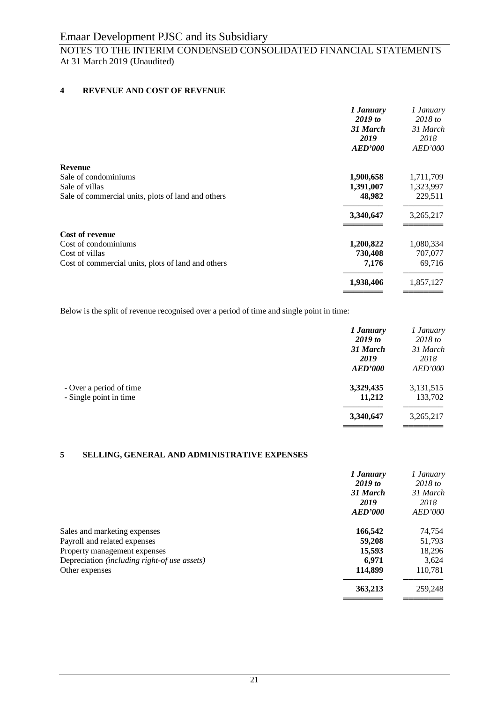# NOTES TO THE INTERIM CONDENSED CONSOLIDATED FINANCIAL STATEMENTS At 31 March 2019 (Unaudited)

### **4 REVENUE AND COST OF REVENUE**

|                                                    | 1 January      | 1 January             |
|----------------------------------------------------|----------------|-----------------------|
|                                                    | 2019 to        | 2018 to               |
|                                                    | 31 March       | 31 March              |
|                                                    | 2019           | 2018                  |
|                                                    | <b>AED'000</b> | <i><b>AED'000</b></i> |
| <b>Revenue</b>                                     |                |                       |
| Sale of condominiums                               | 1,900,658      | 1,711,709             |
| Sale of villas                                     | 1,391,007      | 1,323,997             |
| Sale of commercial units, plots of land and others | 48,982         | 229,511               |
|                                                    | 3,340,647      | 3,265,217             |
| <b>Cost of revenue</b>                             |                |                       |
| Cost of condominiums                               | 1,200,822      | 1,080,334             |
| Cost of villas                                     | 730,408        | 707,077               |
| Cost of commercial units, plots of land and others | 7,176          | 69,716                |
|                                                    | 1,938,406      | 1,857,127             |
|                                                    |                |                       |

Below is the split of revenue recognised over a period of time and single point in time:

|                                                   | 1 January<br>2019 to               | 1 January<br>$2018$ to             |
|---------------------------------------------------|------------------------------------|------------------------------------|
|                                                   | 31 March<br>2019<br><b>AED'000</b> | 31 March<br>2018<br><i>AED'000</i> |
| - Over a period of time<br>- Single point in time | 3,329,435<br>11,212                | 3,131,515<br>133,702               |
|                                                   | 3,340,647                          | 3,265,217                          |

### **5 SELLING, GENERAL AND ADMINISTRATIVE EXPENSES**

|                                              | 1 January      | 1 January      |
|----------------------------------------------|----------------|----------------|
|                                              | $2019$ to      | $2018$ to      |
|                                              | 31 March       | 31 March       |
|                                              | 2019           | 2018           |
|                                              | <b>AED'000</b> | <i>AED'000</i> |
| Sales and marketing expenses                 | 166,542        | 74,754         |
| Payroll and related expenses                 | 59,208         | 51,793         |
| Property management expenses                 | 15,593         | 18,296         |
| Depreciation (including right-of use assets) | 6.971          | 3,624          |
| Other expenses                               | 114,899        | 110,781        |
|                                              | 363,213        | 259,248        |
|                                              |                |                |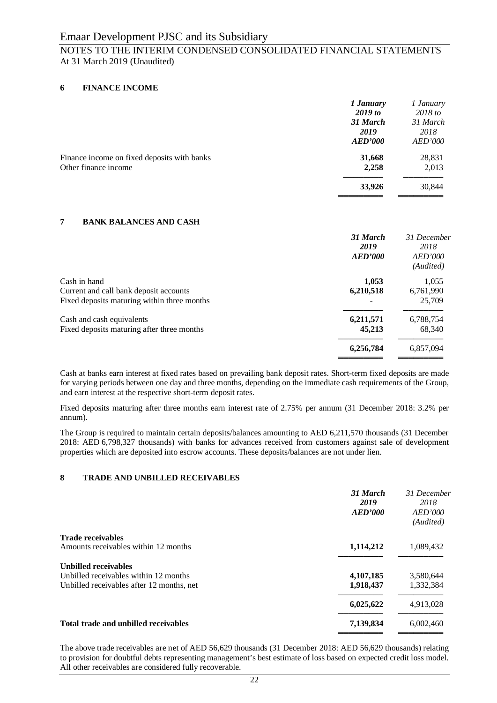# NOTES TO THE INTERIM CONDENSED CONSOLIDATED FINANCIAL STATEMENTS At 31 March 2019 (Unaudited)

### **6 FINANCE INCOME**

|                                                                     | 1 January<br>2019 to               | 1 January<br>2018 to               |
|---------------------------------------------------------------------|------------------------------------|------------------------------------|
|                                                                     | 31 March<br>2019<br><b>AED'000</b> | 31 March<br>2018<br><b>AED'000</b> |
| Finance income on fixed deposits with banks<br>Other finance income | 31,668<br>2,258                    | 28,831<br>2,013                    |
|                                                                     | 33,926                             | 30,844                             |

### **7 BANK BALANCES AND CASH**

|                                                                                                       | 31 March<br>2019<br><b>AED'000</b> | 31 December<br>2018<br><b>AED'000</b><br>(Audited) |
|-------------------------------------------------------------------------------------------------------|------------------------------------|----------------------------------------------------|
| Cash in hand<br>Current and call bank deposit accounts<br>Fixed deposits maturing within three months | 1,053<br>6,210,518                 | 1,055<br>6,761,990<br>25,709                       |
| Cash and cash equivalents<br>Fixed deposits maturing after three months                               | 6,211,571<br>45,213                | 6,788,754<br>68,340                                |
|                                                                                                       | 6,256,784                          | 6,857,094                                          |

Cash at banks earn interest at fixed rates based on prevailing bank deposit rates. Short-term fixed deposits are made for varying periods between one day and three months, depending on the immediate cash requirements of the Group, and earn interest at the respective short-term deposit rates.

Fixed deposits maturing after three months earn interest rate of 2.75% per annum (31 December 2018: 3.2% per annum).

The Group is required to maintain certain deposits/balances amounting to AED 6,211,570 thousands (31 December 2018: AED 6,798,327 thousands) with banks for advances received from customers against sale of development properties which are deposited into escrow accounts. These deposits/balances are not under lien.

### **8 TRADE AND UNBILLED RECEIVABLES**

|                                           | 31 March<br>2019<br>AED'000 | 31 December<br>2018<br>AED'000<br>(Audited) |
|-------------------------------------------|-----------------------------|---------------------------------------------|
| <b>Trade receivables</b>                  |                             |                                             |
| Amounts receivables within 12 months      | 1,114,212                   | 1,089,432                                   |
| <b>Unbilled receivables</b>               |                             |                                             |
| Unbilled receivables within 12 months     | 4,107,185                   | 3,580,644                                   |
| Unbilled receivables after 12 months, net | 1,918,437                   | 1,332,384                                   |
|                                           | 6,025,622                   | 4,913,028                                   |
| Total trade and unbilled receivables      | 7,139,834                   | 6,002,460                                   |
|                                           |                             |                                             |

The above trade receivables are net of AED 56,629 thousands (31 December 2018: AED 56,629 thousands) relating to provision for doubtful debts representing management's best estimate of loss based on expected credit loss model. All other receivables are considered fully recoverable.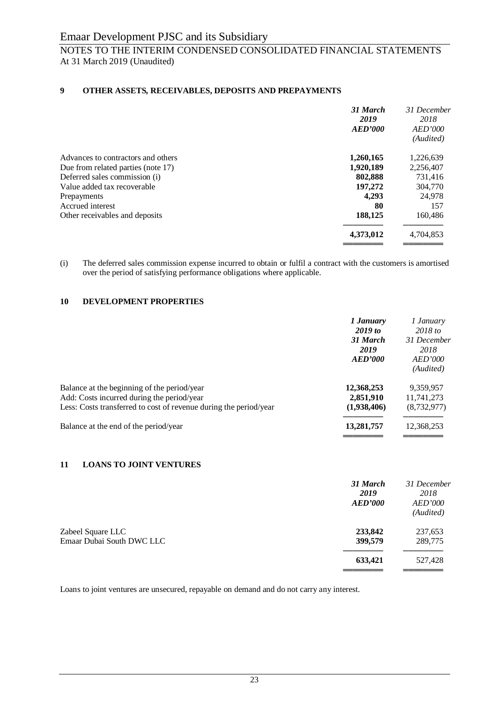# NOTES TO THE INTERIM CONDENSED CONSOLIDATED FINANCIAL STATEMENTS At 31 March 2019 (Unaudited)

### **9 OTHER ASSETS, RECEIVABLES, DEPOSITS AND PREPAYMENTS**

|                                    | 31 March<br>2019<br><b>AED'000</b> | 31 December<br>2018<br><b>AED'000</b><br>(Audited) |
|------------------------------------|------------------------------------|----------------------------------------------------|
| Advances to contractors and others | 1,260,165                          | 1,226,639                                          |
| Due from related parties (note 17) | 1,920,189                          | 2,256,407                                          |
| Deferred sales commission (i)      | 802,888                            | 731,416                                            |
| Value added tax recoverable        | 197,272                            | 304,770                                            |
| Prepayments                        | 4,293                              | 24,978                                             |
| Accrued interest                   | 80                                 | 157                                                |
| Other receivables and deposits     | 188,125                            | 160,486                                            |
|                                    | 4,373,012                          | 4,704,853                                          |
|                                    |                                    |                                                    |

(i) The deferred sales commission expense incurred to obtain or fulfil a contract with the customers is amortised over the period of satisfying performance obligations where applicable.

### **10 DEVELOPMENT PROPERTIES**

|                                                                                                                                                                | 1 January<br>$2019$ to<br>31 March<br>2019<br>AED'000 | 1 January<br>$2018$ to<br>31 December<br>2018<br><i>AED'000</i><br>(Audited) |
|----------------------------------------------------------------------------------------------------------------------------------------------------------------|-------------------------------------------------------|------------------------------------------------------------------------------|
| Balance at the beginning of the period/year<br>Add: Costs incurred during the period/year<br>Less: Costs transferred to cost of revenue during the period/year | 12,368,253<br>2,851,910<br>(1,938,406)                | 9,359,957<br>11,741,273<br>(8,732,977)                                       |
| Balance at the end of the period/year                                                                                                                          | 13,281,757                                            | 12,368,253                                                                   |

### **11 LOANS TO JOINT VENTURES**

|                                                | 31 March<br>2019<br>AED'000 | 31 December<br>2018<br><i>AED'000</i><br>(Audited) |
|------------------------------------------------|-----------------------------|----------------------------------------------------|
| Zabeel Square LLC<br>Emaar Dubai South DWC LLC | 233,842<br>399,579          | 237,653<br>289,775                                 |
|                                                | 633,421                     | 527,428                                            |

Loans to joint ventures are unsecured, repayable on demand and do not carry any interest.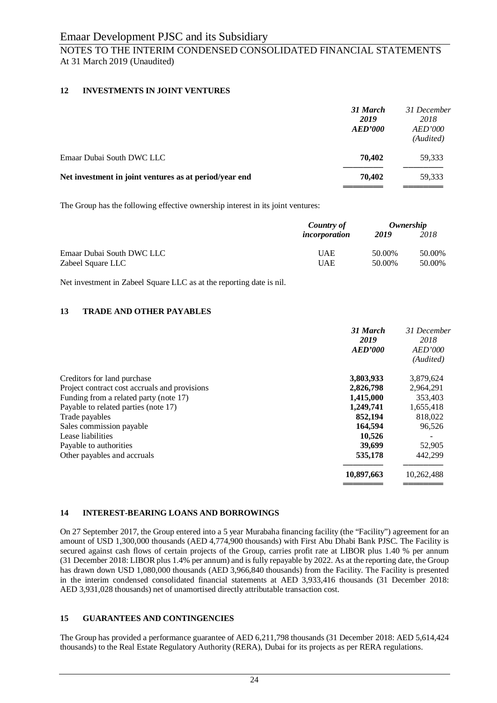# NOTES TO THE INTERIM CONDENSED CONSOLIDATED FINANCIAL STATEMENTS At 31 March 2019 (Unaudited)

## **12 INVESTMENTS IN JOINT VENTURES**

| 31 March<br>2019<br><b>AED'000</b> | 31 December<br>2018<br><i>AED'000</i><br>(Audited) |
|------------------------------------|----------------------------------------------------|
| 70.402                             | 59,333                                             |
| 70,402                             | 59,333                                             |
|                                    |                                                    |

The Group has the following effective ownership interest in its joint ventures:

|                           | Country of    | Ownership |        |
|---------------------------|---------------|-----------|--------|
|                           | incorporation | 2019      | 2018   |
| Emaar Dubai South DWC LLC | <b>UAE</b>    | 50.00%    | 50.00% |
| Zabeel Square LLC         | <b>UAE</b>    | 50.00%    | 50.00% |

Net investment in Zabeel Square LLC as at the reporting date is nil.

### **13 TRADE AND OTHER PAYABLES**

|                                               | 31 March<br>2019<br><b>AED'000</b> | 31 December<br>2018<br><b>AED'000</b><br>(Audited) |
|-----------------------------------------------|------------------------------------|----------------------------------------------------|
| Creditors for land purchase                   | 3,803,933                          | 3,879,624                                          |
| Project contract cost accruals and provisions | 2,826,798                          | 2,964,291                                          |
| Funding from a related party (note 17)        | 1,415,000                          | 353.403                                            |
| Payable to related parties (note 17)          | 1,249,741                          | 1,655,418                                          |
| Trade payables                                | 852,194                            | 818,022                                            |
| Sales commission payable                      | 164,594                            | 96,526                                             |
| Lease liabilities                             | 10,526                             |                                                    |
| Payable to authorities                        | 39,699                             | 52,905                                             |
| Other payables and accruals                   | 535,178                            | 442.299                                            |
|                                               | 10,897,663                         | 10,262,488                                         |
|                                               |                                    |                                                    |

### **14 INTEREST-BEARING LOANS AND BORROWINGS**

On 27 September 2017, the Group entered into a 5 year Murabaha financing facility (the "Facility") agreement for an amount of USD 1,300,000 thousands (AED 4,774,900 thousands) with First Abu Dhabi Bank PJSC. The Facility is secured against cash flows of certain projects of the Group, carries profit rate at LIBOR plus 1.40 % per annum (31 December 2018: LIBOR plus 1.4% per annum) and is fully repayable by 2022. As at the reporting date, the Group has drawn down USD 1,080,000 thousands (AED 3,966,840 thousands) from the Facility. The Facility is presented in the interim condensed consolidated financial statements at AED 3,933,416 thousands (31 December 2018: AED 3,931,028 thousands) net of unamortised directly attributable transaction cost.

### **15 GUARANTEES AND CONTINGENCIES**

The Group has provided a performance guarantee of AED 6,211,798 thousands (31 December 2018: AED 5,614,424 thousands) to the Real Estate Regulatory Authority (RERA), Dubai for its projects as per RERA regulations.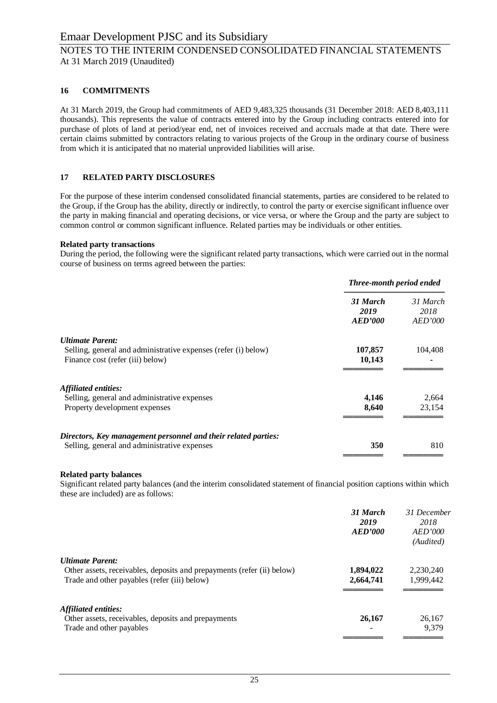## NOTES TO THE INTERIM CONDENSED CONSOLIDATED FINANCIAL STATEMENTS At 31 March 2019 (Unaudited)

### **16 COMMITMENTS**

At 31 March 2019, the Group had commitments of AED 9,483,325 thousands (31 December 2018: AED 8,403,111 thousands). This represents the value of contracts entered into by the Group including contracts entered into for purchase of plots of land at period/year end, net of invoices received and accruals made at that date. There were certain claims submitted by contractors relating to various projects of the Group in the ordinary course of business from which it is anticipated that no material unprovided liabilities will arise.

### **17 RELATED PARTY DISCLOSURES**

For the purpose of these interim condensed consolidated financial statements, parties are considered to be related to the Group, if the Group has the ability, directly or indirectly, to control the party or exercise significant influence over the party in making financial and operating decisions, or vice versa, or where the Group and the party are subject to common control or common significant influence. Related parties may be individuals or other entities.

#### **Related party transactions**

During the period, the following were the significant related party transactions, which were carried out in the normal course of business on terms agreed between the parties:

|                                                                | Three-month period ended    |                                    |
|----------------------------------------------------------------|-----------------------------|------------------------------------|
|                                                                | 31 March<br>2019<br>AED'000 | 31 March<br>2018<br><b>AED'000</b> |
| <b>Ultimate Parent:</b>                                        |                             |                                    |
| Selling, general and administrative expenses (refer (i) below) | 107,857                     | 104,408                            |
| Finance cost (refer (iii) below)                               | 10,143                      |                                    |
| Affiliated entities:                                           |                             |                                    |
| Selling, general and administrative expenses                   | 4,146                       | 2,664                              |
| Property development expenses                                  | 8,640                       | 23,154                             |
| Directors, Key management personnel and their related parties: |                             |                                    |
| Selling, general and administrative expenses                   | 350                         | 810                                |

### **Related party balances**

Significant related party balances (and the interim consolidated statement of financial position captions within which these are included) are as follows:

|                                                                                                                                                   | 31 March<br>2019<br>AED'000 | 31 December<br>2018<br>AED'000<br>(Audited) |
|---------------------------------------------------------------------------------------------------------------------------------------------------|-----------------------------|---------------------------------------------|
| <b>Ultimate Parent:</b><br>Other assets, receivables, deposits and prepayments (refer (ii) below)<br>Trade and other payables (refer (iii) below) | 1,894,022<br>2,664,741      | 2,230,240<br>1,999,442                      |
| <b>Affiliated entities:</b><br>Other assets, receivables, deposits and prepayments<br>Trade and other payables                                    | 26,167                      | 26,167<br>9.379                             |